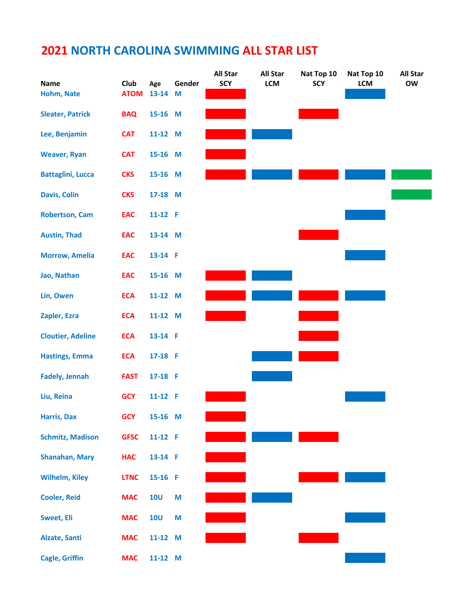|                          |                            |                |        | <b>All Star</b> | <b>All Star</b> | Nat Top 10 | Nat Top 10 | <b>All Star</b> |
|--------------------------|----------------------------|----------------|--------|-----------------|-----------------|------------|------------|-----------------|
| Name<br>Hohm, Nate       | <b>Club</b><br><b>ATOM</b> | Age<br>13-14 M | Gender | <b>SCY</b>      | LCM             | <b>SCY</b> | LCM        | OW              |
|                          |                            |                |        |                 |                 |            |            |                 |
| <b>Sleater, Patrick</b>  | <b>BAQ</b>                 | 15-16 M        |        |                 |                 |            |            |                 |
| Lee, Benjamin            | <b>CAT</b>                 | 11-12 M        |        |                 |                 |            |            |                 |
| <b>Weaver, Ryan</b>      | <b>CAT</b>                 | 15-16 M        |        |                 |                 |            |            |                 |
| <b>Battaglini, Lucca</b> | <b>CKS</b>                 | 15-16 M        |        |                 |                 |            |            |                 |
| <b>Davis, Colin</b>      | <b>CKS</b>                 | 17-18 M        |        |                 |                 |            |            |                 |
| <b>Robertson, Cam</b>    | <b>EAC</b>                 | $11-12$ F      |        |                 |                 |            |            |                 |
| <b>Austin, Thad</b>      | <b>EAC</b>                 | 13-14 M        |        |                 |                 |            |            |                 |
| <b>Morrow, Amelia</b>    | <b>EAC</b>                 | 13-14 F        |        |                 |                 |            |            |                 |
| Jao, Nathan              | <b>EAC</b>                 | 15-16 M        |        |                 |                 |            |            |                 |
| Lin, Owen                | <b>ECA</b>                 | 11-12 M        |        |                 |                 |            |            |                 |
| Zapler, Ezra             | <b>ECA</b>                 | 11-12 M        |        |                 |                 |            |            |                 |
| <b>Cloutier, Adeline</b> | <b>ECA</b>                 | 13-14 F        |        |                 |                 |            |            |                 |
| <b>Hastings, Emma</b>    | <b>ECA</b>                 | 17-18 F        |        |                 |                 |            |            |                 |
| <b>Fadely, Jennah</b>    | <b>FAST</b>                | 17-18 F        |        |                 |                 |            |            |                 |
| Liu, Reina               | <b>GCY</b>                 | 11-12 F        |        |                 |                 |            |            |                 |
| <b>Harris, Dax</b>       | <b>GCY</b>                 | 15-16 M        |        |                 |                 |            |            |                 |
| <b>Schmitz, Madison</b>  | <b>GFSC</b>                | 11-12 F        |        |                 |                 |            |            |                 |
| <b>Shanahan, Mary</b>    | <b>HAC</b>                 | 13-14 F        |        |                 |                 |            |            |                 |
| <b>Wilhelm, Kiley</b>    | <b>LTNC</b>                | 15-16 F        |        |                 |                 |            |            |                 |
| <b>Cooler, Reid</b>      | <b>MAC</b>                 | <b>10U</b>     | M      |                 |                 |            |            |                 |
| <b>Sweet, Eli</b>        | <b>MAC</b>                 | <b>10U</b>     | M      |                 |                 |            |            |                 |
| <b>Alzate, Santi</b>     | <b>MAC</b>                 | 11-12 M        |        |                 |                 |            |            |                 |
| <b>Cagle, Griffin</b>    | <b>MAC</b>                 | 11-12 M        |        |                 |                 |            |            |                 |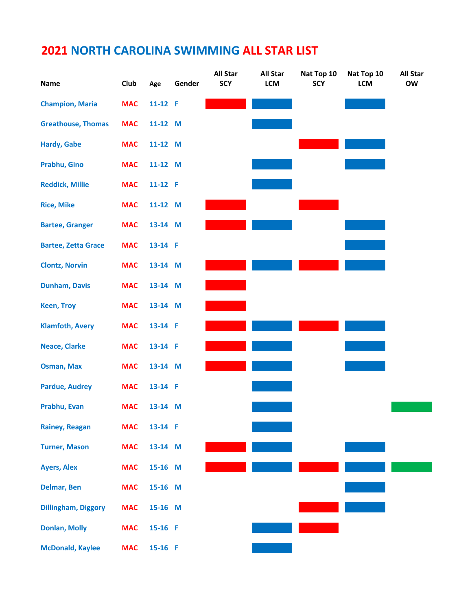| Name                       | Club       | Age     | Gender | <b>All Star</b><br><b>SCY</b> | <b>All Star</b><br>LCM | Nat Top 10<br><b>SCY</b> | Nat Top 10<br><b>LCM</b> | <b>All Star</b><br><b>OW</b> |
|----------------------------|------------|---------|--------|-------------------------------|------------------------|--------------------------|--------------------------|------------------------------|
| <b>Champion, Maria</b>     | <b>MAC</b> | 11-12 F |        |                               |                        |                          |                          |                              |
| <b>Greathouse, Thomas</b>  | <b>MAC</b> | 11-12 M |        |                               |                        |                          |                          |                              |
| <b>Hardy, Gabe</b>         | <b>MAC</b> | 11-12 M |        |                               |                        |                          |                          |                              |
| Prabhu, Gino               | <b>MAC</b> | 11-12 M |        |                               |                        |                          |                          |                              |
| <b>Reddick, Millie</b>     | <b>MAC</b> | 11-12 F |        |                               |                        |                          |                          |                              |
| <b>Rice, Mike</b>          | <b>MAC</b> | 11-12 M |        |                               |                        |                          |                          |                              |
| <b>Bartee, Granger</b>     | <b>MAC</b> | 13-14 M |        |                               |                        |                          |                          |                              |
| <b>Bartee, Zetta Grace</b> | <b>MAC</b> | 13-14 F |        |                               |                        |                          |                          |                              |
| <b>Clontz, Norvin</b>      | <b>MAC</b> | 13-14 M |        |                               |                        |                          |                          |                              |
| <b>Dunham, Davis</b>       | <b>MAC</b> | 13-14 M |        |                               |                        |                          |                          |                              |
| <b>Keen, Troy</b>          | <b>MAC</b> | 13-14 M |        |                               |                        |                          |                          |                              |
| <b>Klamfoth, Avery</b>     | <b>MAC</b> | 13-14 F |        |                               |                        |                          |                          |                              |
| <b>Neace, Clarke</b>       | <b>MAC</b> | 13-14 F |        |                               |                        |                          |                          |                              |
| <b>Osman, Max</b>          | <b>MAC</b> | 13-14 M |        |                               |                        |                          |                          |                              |
| <b>Pardue, Audrey</b>      | <b>MAC</b> | 13-14 F |        |                               |                        |                          |                          |                              |
| Prabhu, Evan               | <b>MAC</b> | 13-14 M |        |                               |                        |                          |                          |                              |
| <b>Rainey, Reagan</b>      | <b>MAC</b> | 13-14 F |        |                               |                        |                          |                          |                              |
| <b>Turner, Mason</b>       | <b>MAC</b> | 13-14 M |        |                               |                        |                          |                          |                              |
| <b>Ayers, Alex</b>         | <b>MAC</b> | 15-16 M |        |                               |                        |                          |                          |                              |
| <b>Delmar, Ben</b>         | <b>MAC</b> | 15-16 M |        |                               |                        |                          |                          |                              |
| <b>Dillingham, Diggory</b> | <b>MAC</b> | 15-16 M |        |                               |                        |                          |                          |                              |
| <b>Donlan, Molly</b>       | <b>MAC</b> | 15-16 F |        |                               |                        |                          |                          |                              |
| <b>McDonald, Kaylee</b>    | <b>MAC</b> | 15-16 F |        |                               |                        |                          |                          |                              |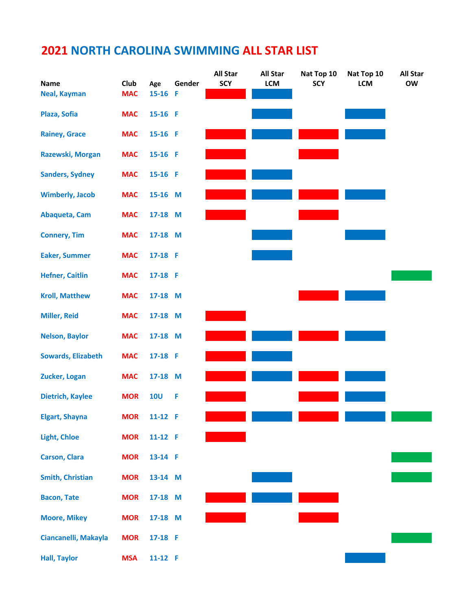|                           |             |            |        | <b>All Star</b> | <b>All Star</b> | Nat Top 10 | Nat Top 10 | <b>All Star</b> |
|---------------------------|-------------|------------|--------|-----------------|-----------------|------------|------------|-----------------|
| <b>Name</b>               | <b>Club</b> | Age        | Gender | <b>SCY</b>      | LCM             | <b>SCY</b> | <b>LCM</b> | <b>OW</b>       |
| <b>Neal, Kayman</b>       | <b>MAC</b>  | 15-16 F    |        |                 |                 |            |            |                 |
| Plaza, Sofia              | <b>MAC</b>  | 15-16 F    |        |                 |                 |            |            |                 |
| <b>Rainey, Grace</b>      | <b>MAC</b>  | 15-16 F    |        |                 |                 |            |            |                 |
| Razewski, Morgan          | <b>MAC</b>  | 15-16 F    |        |                 |                 |            |            |                 |
| <b>Sanders, Sydney</b>    | <b>MAC</b>  | 15-16 F    |        |                 |                 |            |            |                 |
| <b>Wimberly, Jacob</b>    | <b>MAC</b>  | 15-16 M    |        |                 |                 |            |            |                 |
| Abaqueta, Cam             | <b>MAC</b>  | 17-18 M    |        |                 |                 |            |            |                 |
| <b>Connery, Tim</b>       | <b>MAC</b>  | 17-18 M    |        |                 |                 |            |            |                 |
| <b>Eaker, Summer</b>      | <b>MAC</b>  | 17-18 F    |        |                 |                 |            |            |                 |
| <b>Hefner, Caitlin</b>    | <b>MAC</b>  | 17-18 F    |        |                 |                 |            |            |                 |
| <b>Kroll, Matthew</b>     | <b>MAC</b>  | 17-18 M    |        |                 |                 |            |            |                 |
| <b>Miller, Reid</b>       | <b>MAC</b>  | 17-18 M    |        |                 |                 |            |            |                 |
| <b>Nelson, Baylor</b>     | <b>MAC</b>  | 17-18 M    |        |                 |                 |            |            |                 |
| <b>Sowards, Elizabeth</b> | <b>MAC</b>  | 17-18 F    |        |                 |                 |            |            |                 |
| Zucker, Logan             | <b>MAC</b>  | 17-18 M    |        |                 |                 |            |            |                 |
| <b>Dietrich, Kaylee</b>   | <b>MOR</b>  | <b>10U</b> | F      |                 |                 |            |            |                 |
| <b>Elgart, Shayna</b>     | <b>MOR</b>  | 11-12 F    |        |                 |                 |            |            |                 |
| <b>Light, Chloe</b>       | <b>MOR</b>  | 11-12 F    |        |                 |                 |            |            |                 |
| <b>Carson, Clara</b>      | <b>MOR</b>  | 13-14 F    |        |                 |                 |            |            |                 |
| <b>Smith, Christian</b>   | <b>MOR</b>  | 13-14 M    |        |                 |                 |            |            |                 |
| <b>Bacon, Tate</b>        | <b>MOR</b>  | 17-18 M    |        |                 |                 |            |            |                 |
| <b>Moore, Mikey</b>       | <b>MOR</b>  | 17-18 M    |        |                 |                 |            |            |                 |
| Ciancanelli, Makayla      | <b>MOR</b>  | 17-18 F    |        |                 |                 |            |            |                 |
| <b>Hall, Taylor</b>       | <b>MSA</b>  | 11-12 F    |        |                 |                 |            |            |                 |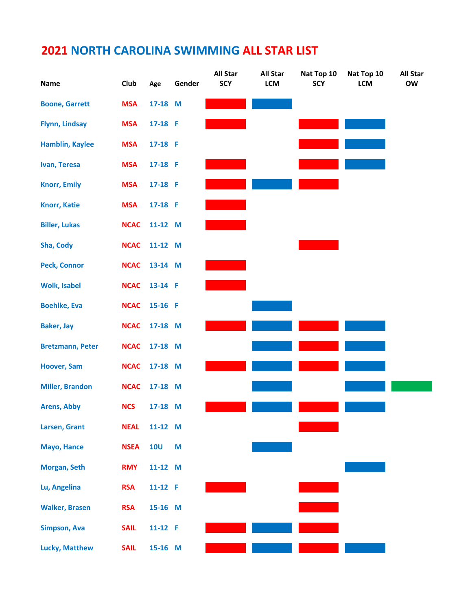| Name                    | Club        | Age        | Gender | <b>All Star</b><br><b>SCY</b> | <b>All Star</b><br>LCM | Nat Top 10<br><b>SCY</b> | Nat Top 10<br>LCM | <b>All Star</b><br>OW |
|-------------------------|-------------|------------|--------|-------------------------------|------------------------|--------------------------|-------------------|-----------------------|
| <b>Boone, Garrett</b>   | <b>MSA</b>  | 17-18 M    |        |                               |                        |                          |                   |                       |
| <b>Flynn, Lindsay</b>   | <b>MSA</b>  | 17-18 F    |        |                               |                        |                          |                   |                       |
| <b>Hamblin, Kaylee</b>  | <b>MSA</b>  | 17-18 F    |        |                               |                        |                          |                   |                       |
| Ivan, Teresa            | <b>MSA</b>  | 17-18 F    |        |                               |                        |                          |                   |                       |
| <b>Knorr, Emily</b>     | <b>MSA</b>  | 17-18 F    |        |                               |                        |                          |                   |                       |
| <b>Knorr, Katie</b>     | <b>MSA</b>  | 17-18 F    |        |                               |                        |                          |                   |                       |
| <b>Biller, Lukas</b>    | <b>NCAC</b> | 11-12 M    |        |                               |                        |                          |                   |                       |
| Sha, Cody               | <b>NCAC</b> | 11-12 M    |        |                               |                        |                          |                   |                       |
| <b>Peck, Connor</b>     | <b>NCAC</b> | 13-14 M    |        |                               |                        |                          |                   |                       |
| <b>Wolk, Isabel</b>     | <b>NCAC</b> | 13-14 F    |        |                               |                        |                          |                   |                       |
| <b>Boehlke, Eva</b>     | <b>NCAC</b> | 15-16 F    |        |                               |                        |                          |                   |                       |
| <b>Baker, Jay</b>       | <b>NCAC</b> | 17-18 M    |        |                               |                        |                          |                   |                       |
| <b>Bretzmann, Peter</b> | <b>NCAC</b> | 17-18 M    |        |                               |                        |                          |                   |                       |
| <b>Hoover, Sam</b>      | <b>NCAC</b> | 17-18 M    |        |                               |                        |                          |                   |                       |
| <b>Miller, Brandon</b>  | <b>NCAC</b> | 17-18 M    |        |                               |                        |                          |                   |                       |
| <b>Arens, Abby</b>      | <b>NCS</b>  | 17-18 M    |        |                               |                        |                          |                   |                       |
| Larsen, Grant           | <b>NEAL</b> | 11-12 M    |        |                               |                        |                          |                   |                       |
| Mayo, Hance             | <b>NSEA</b> | <b>10U</b> | M      |                               |                        |                          |                   |                       |
| Morgan, Seth            | <b>RMY</b>  | 11-12 M    |        |                               |                        |                          |                   |                       |
| Lu, Angelina            | <b>RSA</b>  | 11-12 F    |        |                               |                        |                          |                   |                       |
| <b>Walker, Brasen</b>   | <b>RSA</b>  | 15-16 M    |        |                               |                        |                          |                   |                       |
| <b>Simpson, Ava</b>     | <b>SAIL</b> | 11-12 F    |        |                               |                        |                          |                   |                       |
| <b>Lucky, Matthew</b>   | <b>SAIL</b> | 15-16 M    |        |                               |                        |                          |                   |                       |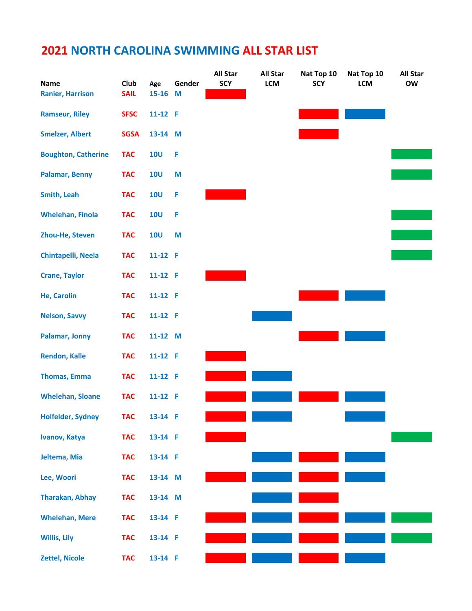| <b>Name</b>                | <b>Club</b> |                  | Gender | <b>All Star</b><br><b>SCY</b> | <b>All Star</b><br>LCM | Nat Top 10<br><b>SCY</b> | Nat Top 10<br><b>LCM</b> | <b>All Star</b><br><b>OW</b> |
|----------------------------|-------------|------------------|--------|-------------------------------|------------------------|--------------------------|--------------------------|------------------------------|
| <b>Ranier, Harrison</b>    | <b>SAIL</b> | Age<br>$15 - 16$ | M      |                               |                        |                          |                          |                              |
| <b>Ramseur, Riley</b>      | <b>SFSC</b> | 11-12 F          |        |                               |                        |                          |                          |                              |
| <b>Smelzer, Albert</b>     | <b>SGSA</b> | 13-14 M          |        |                               |                        |                          |                          |                              |
| <b>Boughton, Catherine</b> | <b>TAC</b>  | <b>10U</b>       | F      |                               |                        |                          |                          |                              |
| <b>Palamar, Benny</b>      | <b>TAC</b>  | <b>10U</b>       | M      |                               |                        |                          |                          |                              |
| <b>Smith, Leah</b>         | <b>TAC</b>  | <b>10U</b>       | F      |                               |                        |                          |                          |                              |
| <b>Whelehan, Finola</b>    | <b>TAC</b>  | <b>10U</b>       | F      |                               |                        |                          |                          |                              |
| Zhou-He, Steven            | <b>TAC</b>  | <b>10U</b>       | M      |                               |                        |                          |                          |                              |
| Chintapelli, Neela         | <b>TAC</b>  | $11-12$ F        |        |                               |                        |                          |                          |                              |
| <b>Crane, Taylor</b>       | <b>TAC</b>  | 11-12 $F$        |        |                               |                        |                          |                          |                              |
| <b>He, Carolin</b>         | <b>TAC</b>  | 11-12 F          |        |                               |                        |                          |                          |                              |
| <b>Nelson, Savvy</b>       | <b>TAC</b>  | $11-12$ F        |        |                               |                        |                          |                          |                              |
| <b>Palamar, Jonny</b>      | <b>TAC</b>  | 11-12 M          |        |                               |                        |                          |                          |                              |
| <b>Rendon, Kalle</b>       | <b>TAC</b>  | $11-12$ F        |        |                               |                        |                          |                          |                              |
| <b>Thomas, Emma</b>        | <b>TAC</b>  | 11-12 F          |        |                               |                        |                          |                          |                              |
| <b>Whelehan, Sloane</b>    | <b>TAC</b>  | 11-12 F          |        |                               |                        |                          |                          |                              |
| <b>Holfelder, Sydney</b>   | <b>TAC</b>  | 13-14 F          |        |                               |                        |                          |                          |                              |
| Ivanov, Katya              | <b>TAC</b>  | 13-14 F          |        |                               |                        |                          |                          |                              |
| Jeltema, Mia               | <b>TAC</b>  | 13-14 F          |        |                               |                        |                          |                          |                              |
| Lee, Woori                 | <b>TAC</b>  | 13-14 M          |        |                               |                        |                          |                          |                              |
| <b>Tharakan, Abhay</b>     | <b>TAC</b>  | 13-14 M          |        |                               |                        |                          |                          |                              |
| <b>Whelehan, Mere</b>      | <b>TAC</b>  | 13-14 F          |        |                               |                        |                          |                          |                              |
| <b>Willis, Lily</b>        | <b>TAC</b>  | 13-14 F          |        |                               |                        |                          |                          |                              |
| <b>Zettel, Nicole</b>      | <b>TAC</b>  | 13-14 F          |        |                               |                        |                          |                          |                              |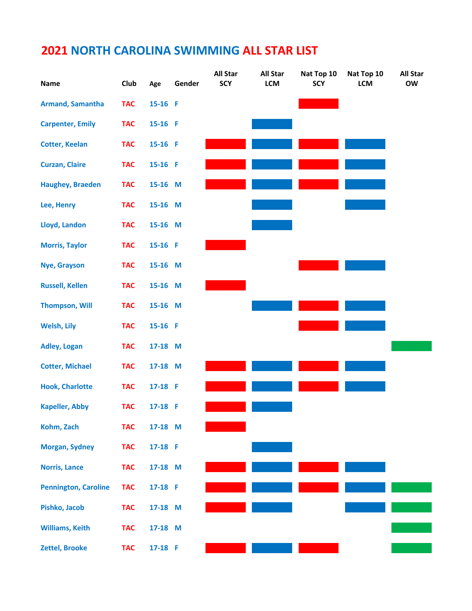| <b>Name</b>                 | Club       | Age     | Gender | <b>All Star</b><br><b>SCY</b> | <b>All Star</b><br>LCM | Nat Top 10<br><b>SCY</b> | Nat Top 10<br><b>LCM</b> | <b>All Star</b><br><b>OW</b> |
|-----------------------------|------------|---------|--------|-------------------------------|------------------------|--------------------------|--------------------------|------------------------------|
| Armand, Samantha            | <b>TAC</b> | 15-16 F |        |                               |                        |                          |                          |                              |
| <b>Carpenter, Emily</b>     | <b>TAC</b> | 15-16 F |        |                               |                        |                          |                          |                              |
| <b>Cotter, Keelan</b>       | <b>TAC</b> | 15-16 F |        |                               |                        |                          |                          |                              |
| <b>Curzan, Claire</b>       | <b>TAC</b> | 15-16 F |        |                               |                        |                          |                          |                              |
| Haughey, Braeden            | <b>TAC</b> | 15-16 M |        |                               |                        |                          |                          |                              |
| Lee, Henry                  | <b>TAC</b> | 15-16 M |        |                               |                        |                          |                          |                              |
| Lloyd, Landon               | <b>TAC</b> | 15-16 M |        |                               |                        |                          |                          |                              |
| <b>Morris, Taylor</b>       | <b>TAC</b> | 15-16 F |        |                               |                        |                          |                          |                              |
| <b>Nye, Grayson</b>         | <b>TAC</b> | 15-16 M |        |                               |                        |                          |                          |                              |
| <b>Russell, Kellen</b>      | <b>TAC</b> | 15-16 M |        |                               |                        |                          |                          |                              |
| <b>Thompson, Will</b>       | <b>TAC</b> | 15-16 M |        |                               |                        |                          |                          |                              |
| <b>Welsh, Lily</b>          | <b>TAC</b> | 15-16 F |        |                               |                        |                          |                          |                              |
| <b>Adley, Logan</b>         | <b>TAC</b> | 17-18 M |        |                               |                        |                          |                          |                              |
| <b>Cotter, Michael</b>      | <b>TAC</b> | 17-18 M |        |                               |                        |                          |                          |                              |
| <b>Hook, Charlotte</b>      | <b>TAC</b> | 17-18 F |        |                               |                        |                          |                          |                              |
| <b>Kapeller, Abby</b>       | <b>TAC</b> | 17-18 F |        |                               |                        |                          |                          |                              |
| Kohm, Zach                  | <b>TAC</b> | 17-18 M |        |                               |                        |                          |                          |                              |
| <b>Morgan, Sydney</b>       | <b>TAC</b> | 17-18 F |        |                               |                        |                          |                          |                              |
| <b>Norris, Lance</b>        | <b>TAC</b> | 17-18 M |        |                               |                        |                          |                          |                              |
| <b>Pennington, Caroline</b> | <b>TAC</b> | 17-18 F |        |                               |                        |                          |                          |                              |
| Pishko, Jacob               | <b>TAC</b> | 17-18 M |        |                               |                        |                          |                          |                              |
| <b>Williams, Keith</b>      | <b>TAC</b> | 17-18 M |        |                               |                        |                          |                          |                              |
| <b>Zettel, Brooke</b>       | <b>TAC</b> | 17-18 F |        |                               |                        |                          |                          |                              |